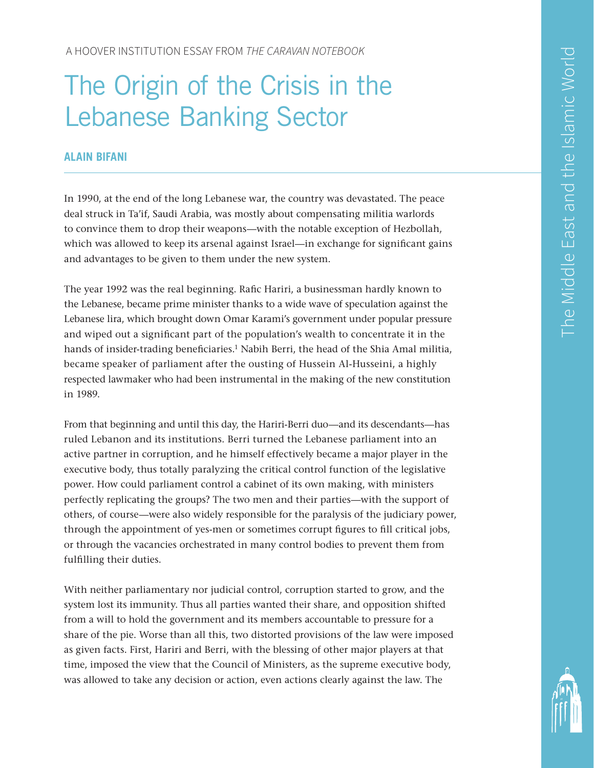# The Origin of the Crisis in the Lebanese Banking Sector

## **ALAIN BIFANI**

In 1990, at the end of the long Lebanese war, the country was devastated. The peace deal struck in Ta'if, Saudi Arabia, was mostly about compensating militia warlords to convince them to drop their weapons—with the notable exception of Hezbollah, which was allowed to keep its arsenal against Israel—in exchange for significant gains and advantages to be given to them under the new system.

The year 1992 was the real beginning. Rafic Hariri, a businessman hardly known to the Lebanese, became prime minister thanks to a wide wave of speculation against the Lebanese lira, which brought down Omar Karami's government under popular pressure and wiped out a significant part of the population's wealth to concentrate it in the hands of insider-trading beneficiaries.<sup>1</sup> Nabih Berri, the head of the Shia Amal militia, became speaker of parliament after the ousting of Hussein Al-Husseini, a highly respected lawmaker who had been instrumental in the making of the new constitution in 1989.

From that beginning and until this day, the Hariri-Berri duo—and its descendants—has ruled Lebanon and its institutions. Berri turned the Lebanese parliament into an active partner in corruption, and he himself effectively became a major player in the executive body, thus totally paralyzing the critical control function of the legislative power. How could parliament control a cabinet of its own making, with ministers perfectly replicating the groups? The two men and their parties—with the support of others, of course—were also widely responsible for the paralysis of the judiciary power, through the appointment of yes-men or sometimes corrupt figures to fill critical jobs, or through the vacancies orchestrated in many control bodies to prevent them from fulfilling their duties.

With neither parliamentary nor judicial control, corruption started to grow, and the system lost its immunity. Thus all parties wanted their share, and opposition shifted from a will to hold the government and its members accountable to pressure for a share of the pie. Worse than all this, two distorted provisions of the law were imposed as given facts. First, Hariri and Berri, with the blessing of other major players at that time, imposed the view that the Council of Ministers, as the supreme executive body, was allowed to take any decision or action, even actions clearly against the law. The

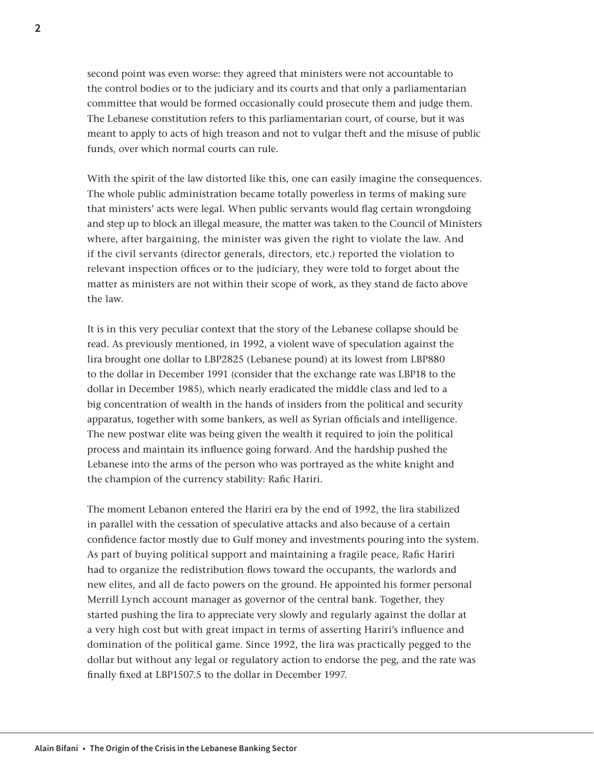second point was even worse: they agreed that ministers were not accountable to the control bodies or to the judiciary and its courts and that only a parliamentarian committee that would be formed occasionally could prosecute them and judge them. The Lebanese constitution refers to this parliamentarian court, of course, but it was meant to apply to acts of high treason and not to vulgar theft and the misuse of public funds, over which normal courts can rule.

With the spirit of the law distorted like this, one can easily imagine the consequences. The whole public administration became totally powerless in terms of making sure that ministers' acts were legal. When public servants would flag certain wrongdoing and step up to block an illegal measure, the matter was taken to the Council of Ministers where, after bargaining, the minister was given the right to violate the law. And if the civil servants (director generals, directors, etc.) reported the violation to relevant inspection offices or to the judiciary, they were told to forget about the matter as ministers are not within their scope of work, as they stand de facto above the law.

It is in this very peculiar context that the story of the Lebanese collapse should be read. As previously mentioned, in 1992, a violent wave of speculation against the lira brought one dollar to LBP2825 (Lebanese pound) at its lowest from LBP880 to the dollar in December 1991 (consider that the exchange rate was LBP18 to the dollar in December 1985), which nearly eradicated the middle class and led to a big concentration of wealth in the hands of insiders from the political and security apparatus, together with some bankers, as well as Syrian officials and intelligence. The new postwar elite was being given the wealth it required to join the political process and maintain its influence going forward. And the hardship pushed the Lebanese into the arms of the person who was portrayed as the white knight and the champion of the currency stability: Rafic Hariri.

The moment Lebanon entered the Hariri era by the end of 1992, the lira stabilized in parallel with the cessation of speculative attacks and also because of a certain confidence factor mostly due to Gulf money and investments pouring into the system. As part of buying political support and maintaining a fragile peace, Rafic Hariri had to organize the redistribution flows toward the occupants, the warlords and new elites, and all de facto powers on the ground. He appointed his former personal Merrill Lynch account manager as governor of the central bank. Together, they started pushing the lira to appreciate very slowly and regularly against the dollar at a very high cost but with great impact in terms of asserting Hariri's influence and domination of the political game. Since 1992, the lira was practically pegged to the dollar but without any legal or regulatory action to endorse the peg, and the rate was finally fixed at LBP1507.5 to the dollar in December 1997.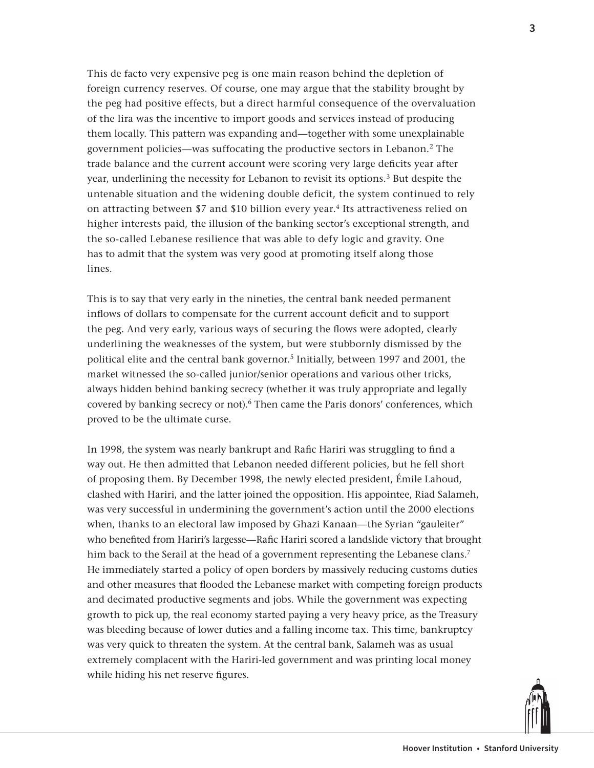This de facto very expensive peg is one main reason behind the depletion of foreign currency reserves. Of course, one may argue that the stability brought by the peg had positive effects, but a direct harmful consequence of the overvaluation of the lira was the incentive to import goods and services instead of producing them locally. This pattern was expanding and—together with some unexplainable government policies—was suffocating the productive sectors in Lebanon.2 The trade balance and the current account were scoring very large deficits year after year, underlining the necessity for Lebanon to revisit its options.<sup>3</sup> But despite the untenable situation and the widening double deficit, the system continued to rely on attracting between \$7 and \$10 billion every year.4 Its attractiveness relied on higher interests paid, the illusion of the banking sector's exceptional strength, and the so-called Lebanese resilience that was able to defy logic and gravity. One has to admit that the system was very good at promoting itself along those lines.

This is to say that very early in the nineties, the central bank needed permanent inflows of dollars to compensate for the current account deficit and to support the peg. And very early, various ways of securing the flows were adopted, clearly underlining the weaknesses of the system, but were stubbornly dismissed by the political elite and the central bank governor.<sup>5</sup> Initially, between 1997 and 2001, the market witnessed the so-called junior/senior operations and various other tricks, always hidden behind banking secrecy (whether it was truly appropriate and legally covered by banking secrecy or not).<sup>6</sup> Then came the Paris donors' conferences, which proved to be the ultimate curse.

In 1998, the system was nearly bankrupt and Rafic Hariri was struggling to find a way out. He then admitted that Lebanon needed different policies, but he fell short of proposing them. By December 1998, the newly elected president, Émile Lahoud, clashed with Hariri, and the latter joined the opposition. His appointee, Riad Salameh, was very successful in undermining the government's action until the 2000 elections when, thanks to an electoral law imposed by Ghazi Kanaan—the Syrian "gauleiter" who benefited from Hariri's largesse—Rafic Hariri scored a landslide victory that brought him back to the Serail at the head of a government representing the Lebanese clans.<sup>7</sup> He immediately started a policy of open borders by massively reducing customs duties and other measures that flooded the Lebanese market with competing foreign products and decimated productive segments and jobs. While the government was expecting growth to pick up, the real economy started paying a very heavy price, as the Treasury was bleeding because of lower duties and a falling income tax. This time, bankruptcy was very quick to threaten the system. At the central bank, Salameh was as usual extremely complacent with the Hariri-led government and was printing local money while hiding his net reserve figures.

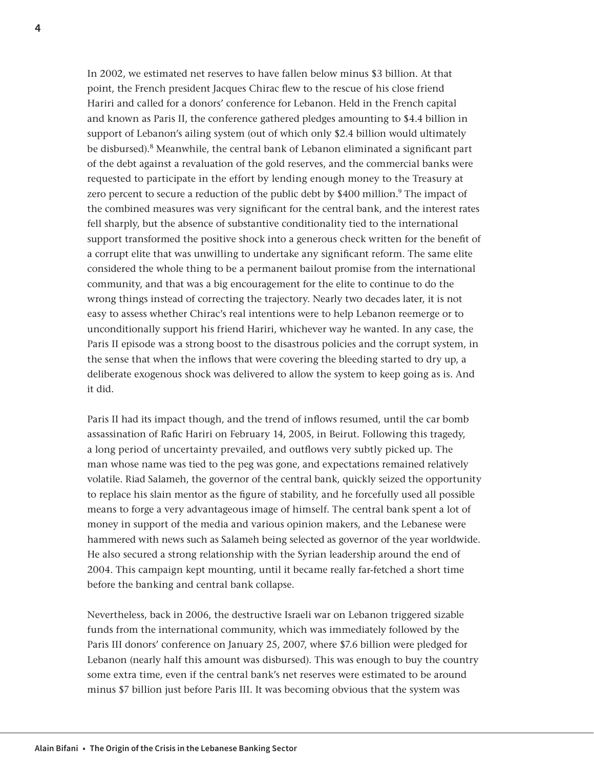In 2002, we estimated net reserves to have fallen below minus \$3 billion. At that point, the French president Jacques Chirac flew to the rescue of his close friend Hariri and called for a donors' conference for Lebanon. Held in the French capital and known as Paris II, the conference gathered pledges amounting to \$4.4 billion in support of Lebanon's ailing system (out of which only \$2.4 billion would ultimately be disbursed).8 Meanwhile, the central bank of Lebanon eliminated a significant part of the debt against a revaluation of the gold reserves, and the commercial banks were requested to participate in the effort by lending enough money to the Treasury at zero percent to secure a reduction of the public debt by \$400 million.<sup>9</sup> The impact of the combined measures was very significant for the central bank, and the interest rates fell sharply, but the absence of substantive conditionality tied to the international support transformed the positive shock into a generous check written for the benefit of a corrupt elite that was unwilling to undertake any significant reform. The same elite considered the whole thing to be a permanent bailout promise from the international community, and that was a big encouragement for the elite to continue to do the wrong things instead of correcting the trajectory. Nearly two decades later, it is not easy to assess whether Chirac's real intentions were to help Lebanon reemerge or to unconditionally support his friend Hariri, whichever way he wanted. In any case, the Paris II episode was a strong boost to the disastrous policies and the corrupt system, in the sense that when the inflows that were covering the bleeding started to dry up, a deliberate exogenous shock was delivered to allow the system to keep going as is. And it did.

Paris II had its impact though, and the trend of inflows resumed, until the car bomb assassination of Rafic Hariri on February 14, 2005, in Beirut. Following this tragedy, a long period of uncertainty prevailed, and outflows very subtly picked up. The man whose name was tied to the peg was gone, and expectations remained relatively volatile. Riad Salameh, the governor of the central bank, quickly seized the opportunity to replace his slain mentor as the figure of stability, and he forcefully used all possible means to forge a very advantageous image of himself. The central bank spent a lot of money in support of the media and various opinion makers, and the Lebanese were hammered with news such as Salameh being selected as governor of the year worldwide. He also secured a strong relationship with the Syrian leadership around the end of 2004. This campaign kept mounting, until it became really far-fetched a short time before the banking and central bank collapse.

Nevertheless, back in 2006, the destructive Israeli war on Lebanon triggered sizable funds from the international community, which was immediately followed by the Paris III donors' conference on January 25, 2007, where \$7.6 billion were pledged for Lebanon (nearly half this amount was disbursed). This was enough to buy the country some extra time, even if the central bank's net reserves were estimated to be around minus \$7 billion just before Paris III. It was becoming obvious that the system was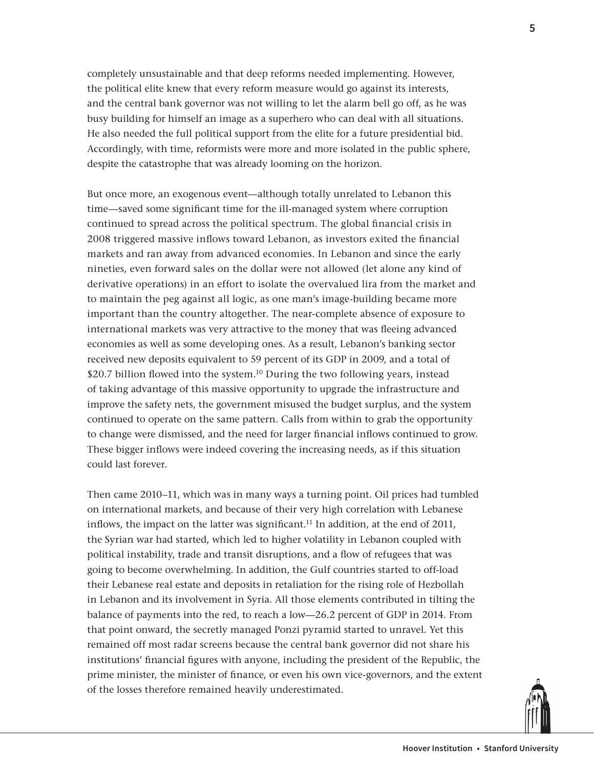completely unsustainable and that deep reforms needed implementing. However, the political elite knew that every reform measure would go against its interests, and the central bank governor was not willing to let the alarm bell go off, as he was busy building for himself an image as a superhero who can deal with all situations. He also needed the full political support from the elite for a future presidential bid. Accordingly, with time, reformists were more and more isolated in the public sphere, despite the catastrophe that was already looming on the horizon.

But once more, an exogenous event—although totally unrelated to Lebanon this time—saved some significant time for the ill-managed system where corruption continued to spread across the political spectrum. The global financial crisis in 2008 triggered massive inflows toward Lebanon, as investors exited the financial markets and ran away from advanced economies. In Lebanon and since the early nineties, even forward sales on the dollar were not allowed (let alone any kind of derivative operations) in an effort to isolate the overvalued lira from the market and to maintain the peg against all logic, as one man's image-building became more important than the country altogether. The near-complete absence of exposure to international markets was very attractive to the money that was fleeing advanced economies as well as some developing ones. As a result, Lebanon's banking sector received new deposits equivalent to 59 percent of its GDP in 2009, and a total of \$20.7 billion flowed into the system.<sup>10</sup> During the two following years, instead of taking advantage of this massive opportunity to upgrade the infrastructure and improve the safety nets, the government misused the budget surplus, and the system continued to operate on the same pattern. Calls from within to grab the opportunity to change were dismissed, and the need for larger financial inflows continued to grow. These bigger inflows were indeed covering the increasing needs, as if this situation could last forever.

Then came 2010–11, which was in many ways a turning point. Oil prices had tumbled on international markets, and because of their very high correlation with Lebanese inflows, the impact on the latter was significant.<sup>11</sup> In addition, at the end of 2011. the Syrian war had started, which led to higher volatility in Lebanon coupled with political instability, trade and transit disruptions, and a flow of refugees that was going to become overwhelming. In addition, the Gulf countries started to off-load their Lebanese real estate and deposits in retaliation for the rising role of Hezbollah in Lebanon and its involvement in Syria. All those elements contributed in tilting the balance of payments into the red, to reach a low—26.2 percent of GDP in 2014. From that point onward, the secretly managed Ponzi pyramid started to unravel. Yet this remained off most radar screens because the central bank governor did not share his institutions' financial figures with anyone, including the president of the Republic, the prime minister, the minister of finance, or even his own vice-governors, and the extent of the losses therefore remained heavily underestimated.

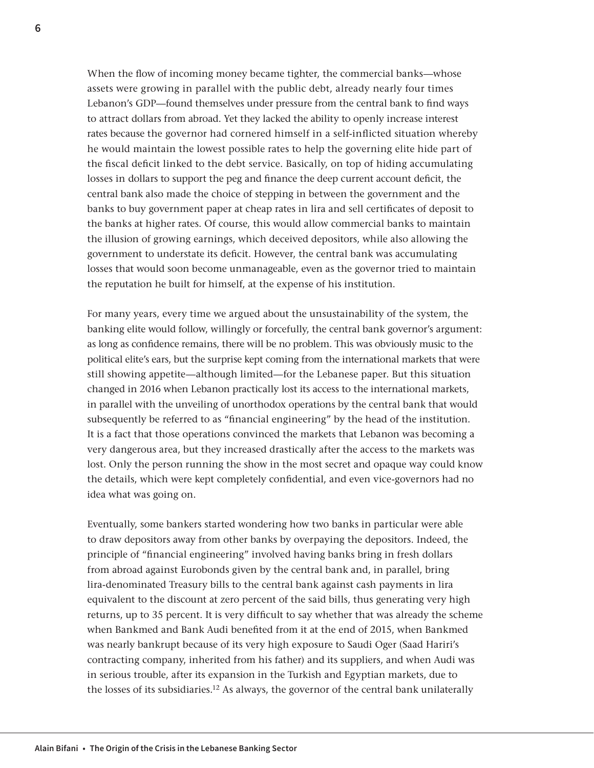When the flow of incoming money became tighter, the commercial banks—whose assets were growing in parallel with the public debt, already nearly four times Lebanon's GDP—found themselves under pressure from the central bank to find ways to attract dollars from abroad. Yet they lacked the ability to openly increase interest rates because the governor had cornered himself in a self-inflicted situation whereby he would maintain the lowest possible rates to help the governing elite hide part of the fiscal deficit linked to the debt service. Basically, on top of hiding accumulating losses in dollars to support the peg and finance the deep current account deficit, the central bank also made the choice of stepping in between the government and the banks to buy government paper at cheap rates in lira and sell certificates of deposit to the banks at higher rates. Of course, this would allow commercial banks to maintain the illusion of growing earnings, which deceived depositors, while also allowing the government to understate its deficit. However, the central bank was accumulating losses that would soon become unmanageable, even as the governor tried to maintain the reputation he built for himself, at the expense of his institution.

For many years, every time we argued about the unsustainability of the system, the banking elite would follow, willingly or forcefully, the central bank governor's argument: as long as confidence remains, there will be no problem. This was obviously music to the political elite's ears, but the surprise kept coming from the international markets that were still showing appetite—although limited—for the Lebanese paper. But this situation changed in 2016 when Lebanon practically lost its access to the international markets, in parallel with the unveiling of unorthodox operations by the central bank that would subsequently be referred to as "financial engineering" by the head of the institution. It is a fact that those operations convinced the markets that Lebanon was becoming a very dangerous area, but they increased drastically after the access to the markets was lost. Only the person running the show in the most secret and opaque way could know the details, which were kept completely confidential, and even vice-governors had no idea what was going on.

Eventually, some bankers started wondering how two banks in particular were able to draw depositors away from other banks by overpaying the depositors. Indeed, the principle of "financial engineering" involved having banks bring in fresh dollars from abroad against Eurobonds given by the central bank and, in parallel, bring lira-denominated Treasury bills to the central bank against cash payments in lira equivalent to the discount at zero percent of the said bills, thus generating very high returns, up to 35 percent. It is very difficult to say whether that was already the scheme when Bankmed and Bank Audi benefited from it at the end of 2015, when Bankmed was nearly bankrupt because of its very high exposure to Saudi Oger (Saad Hariri's contracting company, inherited from his father) and its suppliers, and when Audi was in serious trouble, after its expansion in the Turkish and Egyptian markets, due to the losses of its subsidiaries.<sup>12</sup> As always, the governor of the central bank unilaterally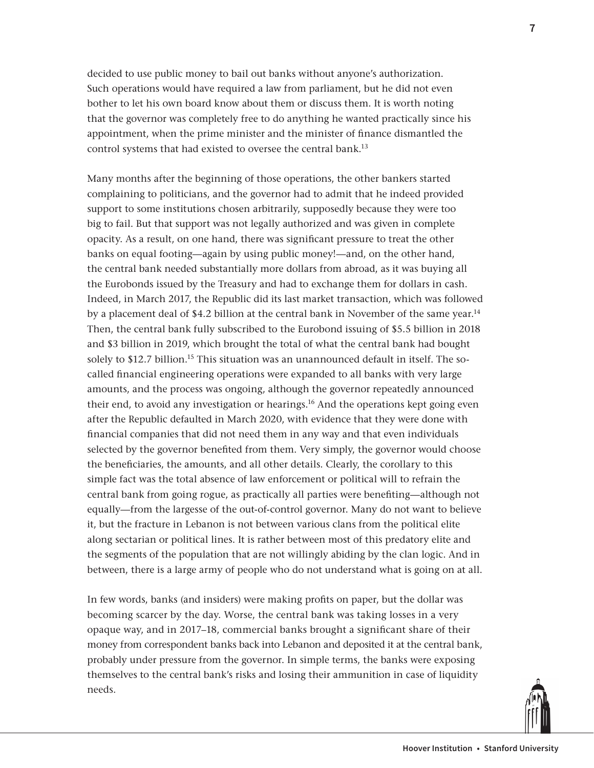decided to use public money to bail out banks without anyone's authorization. Such operations would have required a law from parliament, but he did not even bother to let his own board know about them or discuss them. It is worth noting that the governor was completely free to do anything he wanted practically since his appointment, when the prime minister and the minister of finance dismantled the control systems that had existed to oversee the central bank.<sup>13</sup>

Many months after the beginning of those operations, the other bankers started complaining to politicians, and the governor had to admit that he indeed provided support to some institutions chosen arbitrarily, supposedly because they were too big to fail. But that support was not legally authorized and was given in complete opacity. As a result, on one hand, there was significant pressure to treat the other banks on equal footing—again by using public money!—and, on the other hand, the central bank needed substantially more dollars from abroad, as it was buying all the Eurobonds issued by the Treasury and had to exchange them for dollars in cash. Indeed, in March 2017, the Republic did its last market transaction, which was followed by a placement deal of \$4.2 billion at the central bank in November of the same year.<sup>14</sup> Then, the central bank fully subscribed to the Eurobond issuing of \$5.5 billion in 2018 and \$3 billion in 2019, which brought the total of what the central bank had bought solely to \$12.7 billion.<sup>15</sup> This situation was an unannounced default in itself. The socalled financial engineering operations were expanded to all banks with very large amounts, and the process was ongoing, although the governor repeatedly announced their end, to avoid any investigation or hearings.16 And the operations kept going even after the Republic defaulted in March 2020, with evidence that they were done with financial companies that did not need them in any way and that even individuals selected by the governor benefited from them. Very simply, the governor would choose the beneficiaries, the amounts, and all other details. Clearly, the corollary to this simple fact was the total absence of law enforcement or political will to refrain the central bank from going rogue, as practically all parties were benefiting—although not equally—from the largesse of the out-of-control governor. Many do not want to believe it, but the fracture in Lebanon is not between various clans from the political elite along sectarian or political lines. It is rather between most of this predatory elite and the segments of the population that are not willingly abiding by the clan logic. And in between, there is a large army of people who do not understand what is going on at all.

In few words, banks (and insiders) were making profits on paper, but the dollar was becoming scarcer by the day. Worse, the central bank was taking losses in a very opaque way, and in 2017–18, commercial banks brought a significant share of their money from correspondent banks back into Lebanon and deposited it at the central bank, probably under pressure from the governor. In simple terms, the banks were exposing themselves to the central bank's risks and losing their ammunition in case of liquidity needs.

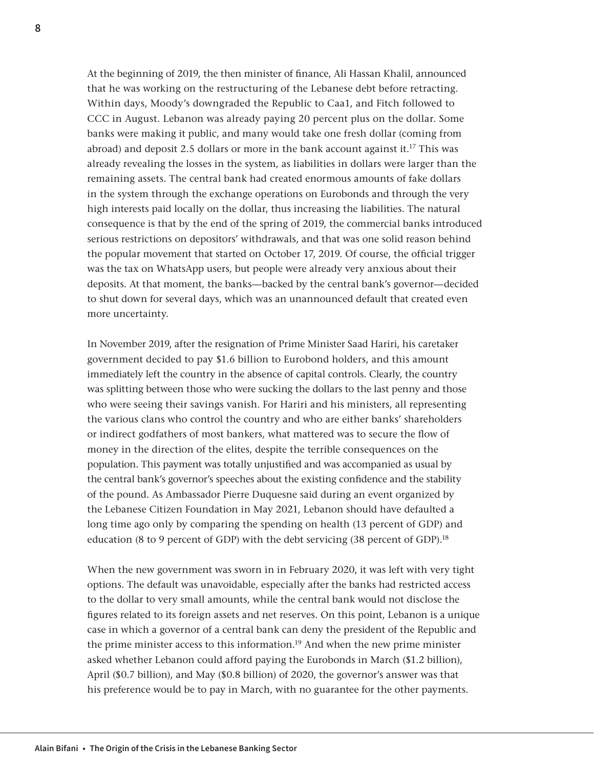At the beginning of 2019, the then minister of finance, Ali Hassan Khalil, announced that he was working on the restructuring of the Lebanese debt before retracting. Within days, Moody's downgraded the Republic to Caa1, and Fitch followed to CCC in August. Lebanon was already paying 20 percent plus on the dollar. Some banks were making it public, and many would take one fresh dollar (coming from abroad) and deposit 2.5 dollars or more in the bank account against it.<sup>17</sup> This was already revealing the losses in the system, as liabilities in dollars were larger than the remaining assets. The central bank had created enormous amounts of fake dollars in the system through the exchange operations on Eurobonds and through the very high interests paid locally on the dollar, thus increasing the liabilities. The natural consequence is that by the end of the spring of 2019, the commercial banks introduced serious restrictions on depositors' withdrawals, and that was one solid reason behind the popular movement that started on October 17, 2019. Of course, the official trigger was the tax on WhatsApp users, but people were already very anxious about their deposits. At that moment, the banks—backed by the central bank's governor—decided to shut down for several days, which was an unannounced default that created even more uncertainty.

In November 2019, after the resignation of Prime Minister Saad Hariri, his caretaker government decided to pay \$1.6 billion to Eurobond holders, and this amount immediately left the country in the absence of capital controls. Clearly, the country was splitting between those who were sucking the dollars to the last penny and those who were seeing their savings vanish. For Hariri and his ministers, all representing the various clans who control the country and who are either banks' shareholders or indirect godfathers of most bankers, what mattered was to secure the flow of money in the direction of the elites, despite the terrible consequences on the population. This payment was totally unjustified and was accompanied as usual by the central bank's governor's speeches about the existing confidence and the stability of the pound. As Ambassador Pierre Duquesne said during an event organized by the Lebanese Citizen Foundation in May 2021, Lebanon should have defaulted a long time ago only by comparing the spending on health (13 percent of GDP) and education (8 to 9 percent of GDP) with the debt servicing (38 percent of GDP).<sup>18</sup>

When the new government was sworn in in February 2020, it was left with very tight options. The default was unavoidable, especially after the banks had restricted access to the dollar to very small amounts, while the central bank would not disclose the figures related to its foreign assets and net reserves. On this point, Lebanon is a unique case in which a governor of a central bank can deny the president of the Republic and the prime minister access to this information.<sup>19</sup> And when the new prime minister asked whether Lebanon could afford paying the Eurobonds in March (\$1.2 billion), April (\$0.7 billion), and May (\$0.8 billion) of 2020, the governor's answer was that his preference would be to pay in March, with no guarantee for the other payments.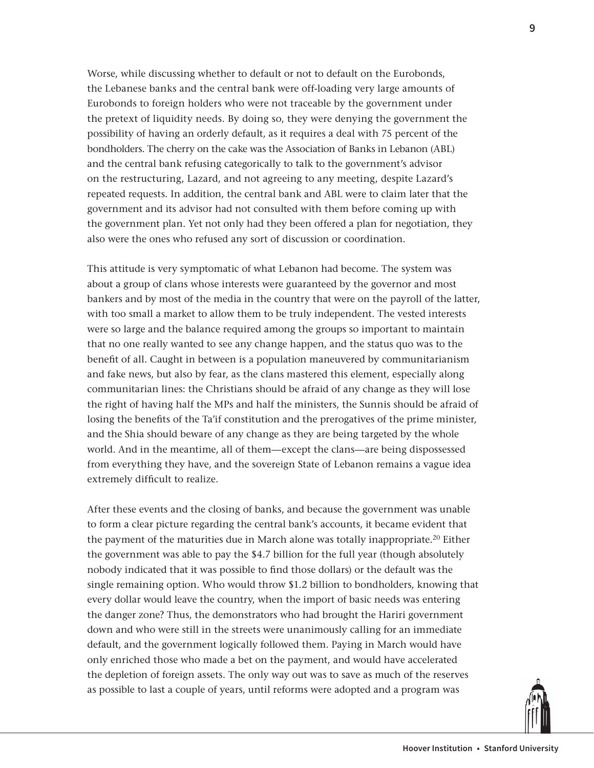Worse, while discussing whether to default or not to default on the Eurobonds, the Lebanese banks and the central bank were off-loading very large amounts of Eurobonds to foreign holders who were not traceable by the government under the pretext of liquidity needs. By doing so, they were denying the government the possibility of having an orderly default, as it requires a deal with 75 percent of the bondholders. The cherry on the cake was the Association of Banks in Lebanon (ABL) and the central bank refusing categorically to talk to the government's advisor on the restructuring, Lazard, and not agreeing to any meeting, despite Lazard's repeated requests. In addition, the central bank and ABL were to claim later that the government and its advisor had not consulted with them before coming up with the government plan. Yet not only had they been offered a plan for negotiation, they also were the ones who refused any sort of discussion or coordination.

This attitude is very symptomatic of what Lebanon had become. The system was about a group of clans whose interests were guaranteed by the governor and most bankers and by most of the media in the country that were on the payroll of the latter, with too small a market to allow them to be truly independent. The vested interests were so large and the balance required among the groups so important to maintain that no one really wanted to see any change happen, and the status quo was to the benefit of all. Caught in between is a population maneuvered by communitarianism and fake news, but also by fear, as the clans mastered this element, especially along communitarian lines: the Christians should be afraid of any change as they will lose the right of having half the MPs and half the ministers, the Sunnis should be afraid of losing the benefits of the Ta'if constitution and the prerogatives of the prime minister, and the Shia should beware of any change as they are being targeted by the whole world. And in the meantime, all of them—except the clans—are being dispossessed from everything they have, and the sovereign State of Lebanon remains a vague idea extremely difficult to realize.

After these events and the closing of banks, and because the government was unable to form a clear picture regarding the central bank's accounts, it became evident that the payment of the maturities due in March alone was totally inappropriate.<sup>20</sup> Either the government was able to pay the \$4.7 billion for the full year (though absolutely nobody indicated that it was possible to find those dollars) or the default was the single remaining option. Who would throw \$1.2 billion to bondholders, knowing that every dollar would leave the country, when the import of basic needs was entering the danger zone? Thus, the demonstrators who had brought the Hariri government down and who were still in the streets were unanimously calling for an immediate default, and the government logically followed them. Paying in March would have only enriched those who made a bet on the payment, and would have accelerated the depletion of foreign assets. The only way out was to save as much of the reserves as possible to last a couple of years, until reforms were adopted and a program was

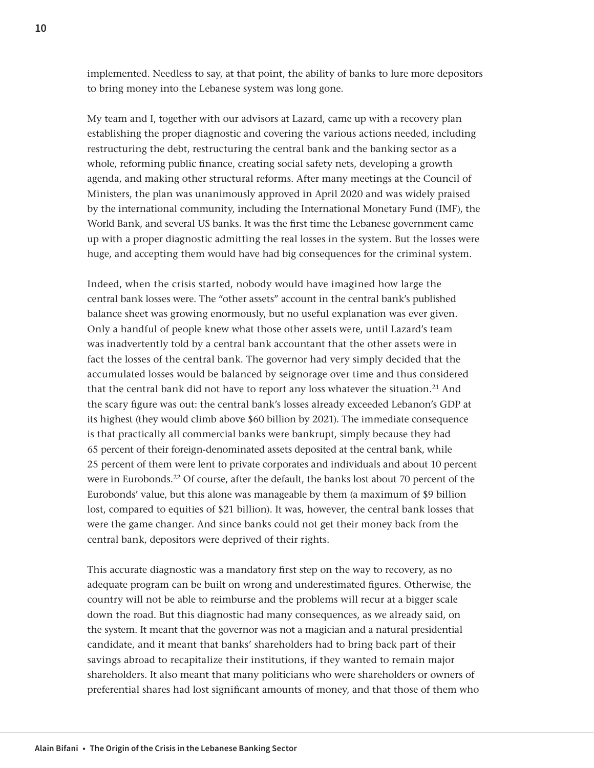implemented. Needless to say, at that point, the ability of banks to lure more depositors to bring money into the Lebanese system was long gone.

My team and I, together with our advisors at Lazard, came up with a recovery plan establishing the proper diagnostic and covering the various actions needed, including restructuring the debt, restructuring the central bank and the banking sector as a whole, reforming public finance, creating social safety nets, developing a growth agenda, and making other structural reforms. After many meetings at the Council of Ministers, the plan was unanimously approved in April 2020 and was widely praised by the international community, including the International Monetary Fund (IMF), the World Bank, and several US banks. It was the first time the Lebanese government came up with a proper diagnostic admitting the real losses in the system. But the losses were huge, and accepting them would have had big consequences for the criminal system.

Indeed, when the crisis started, nobody would have imagined how large the central bank losses were. The "other assets" account in the central bank's published balance sheet was growing enormously, but no useful explanation was ever given. Only a handful of people knew what those other assets were, until Lazard's team was inadvertently told by a central bank accountant that the other assets were in fact the losses of the central bank. The governor had very simply decided that the accumulated losses would be balanced by seignorage over time and thus considered that the central bank did not have to report any loss whatever the situation.<sup>21</sup> And the scary figure was out: the central bank's losses already exceeded Lebanon's GDP at its highest (they would climb above \$60 billion by 2021). The immediate consequence is that practically all commercial banks were bankrupt, simply because they had 65 percent of their foreign-denominated assets deposited at the central bank, while 25 percent of them were lent to private corporates and individuals and about 10 percent were in Eurobonds.<sup>22</sup> Of course, after the default, the banks lost about 70 percent of the Eurobonds' value, but this alone was manageable by them (a maximum of \$9 billion lost, compared to equities of \$21 billion). It was, however, the central bank losses that were the game changer. And since banks could not get their money back from the central bank, depositors were deprived of their rights.

This accurate diagnostic was a mandatory first step on the way to recovery, as no adequate program can be built on wrong and underestimated figures. Otherwise, the country will not be able to reimburse and the problems will recur at a bigger scale down the road. But this diagnostic had many consequences, as we already said, on the system. It meant that the governor was not a magician and a natural presidential candidate, and it meant that banks' shareholders had to bring back part of their savings abroad to recapitalize their institutions, if they wanted to remain major shareholders. It also meant that many politicians who were shareholders or owners of preferential shares had lost significant amounts of money, and that those of them who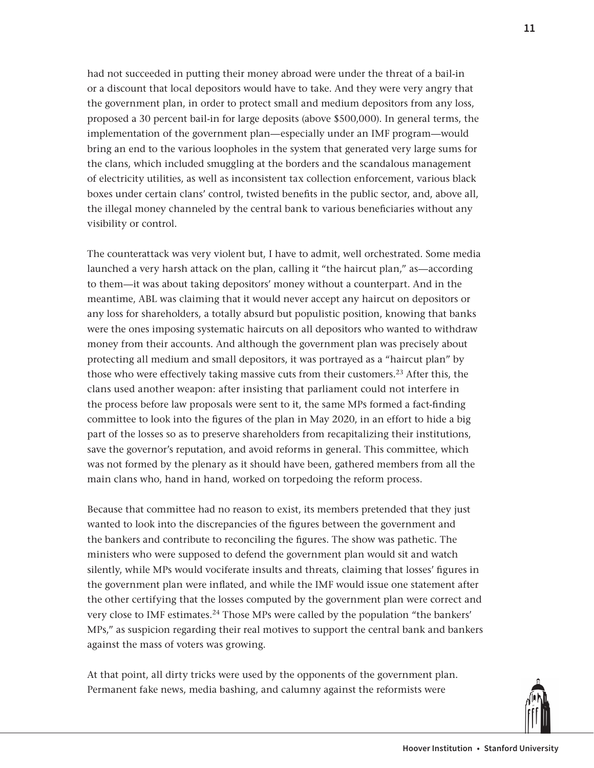had not succeeded in putting their money abroad were under the threat of a bail-in or a discount that local depositors would have to take. And they were very angry that the government plan, in order to protect small and medium depositors from any loss, proposed a 30 percent bail-in for large deposits (above \$500,000). In general terms, the implementation of the government plan—especially under an IMF program—would bring an end to the various loopholes in the system that generated very large sums for the clans, which included smuggling at the borders and the scandalous management of electricity utilities, as well as inconsistent tax collection enforcement, various black boxes under certain clans' control, twisted benefits in the public sector, and, above all, the illegal money channeled by the central bank to various beneficiaries without any visibility or control.

The counterattack was very violent but, I have to admit, well orchestrated. Some media launched a very harsh attack on the plan, calling it "the haircut plan," as—according to them—it was about taking depositors' money without a counterpart. And in the meantime, ABL was claiming that it would never accept any haircut on depositors or any loss for shareholders, a totally absurd but populistic position, knowing that banks were the ones imposing systematic haircuts on all depositors who wanted to withdraw money from their accounts. And although the government plan was precisely about protecting all medium and small depositors, it was portrayed as a "haircut plan" by those who were effectively taking massive cuts from their customers.23 After this, the clans used another weapon: after insisting that parliament could not interfere in the process before law proposals were sent to it, the same MPs formed a fact-finding committee to look into the figures of the plan in May 2020, in an effort to hide a big part of the losses so as to preserve shareholders from recapitalizing their institutions, save the governor's reputation, and avoid reforms in general. This committee, which was not formed by the plenary as it should have been, gathered members from all the main clans who, hand in hand, worked on torpedoing the reform process.

Because that committee had no reason to exist, its members pretended that they just wanted to look into the discrepancies of the figures between the government and the bankers and contribute to reconciling the figures. The show was pathetic. The ministers who were supposed to defend the government plan would sit and watch silently, while MPs would vociferate insults and threats, claiming that losses' figures in the government plan were inflated, and while the IMF would issue one statement after the other certifying that the losses computed by the government plan were correct and very close to IMF estimates.24 Those MPs were called by the population "the bankers' MPs," as suspicion regarding their real motives to support the central bank and bankers against the mass of voters was growing.

At that point, all dirty tricks were used by the opponents of the government plan. Permanent fake news, media bashing, and calumny against the reformists were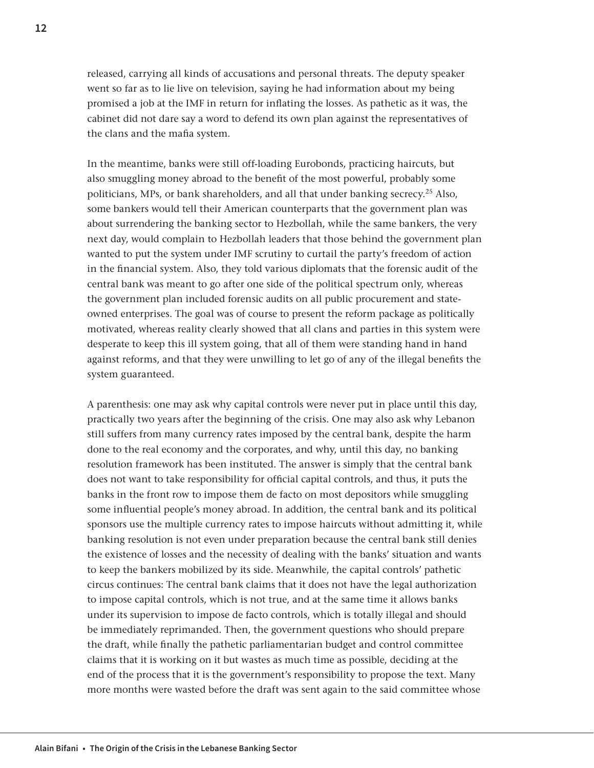released, carrying all kinds of accusations and personal threats. The deputy speaker went so far as to lie live on television, saying he had information about my being promised a job at the IMF in return for inflating the losses. As pathetic as it was, the cabinet did not dare say a word to defend its own plan against the representatives of the clans and the mafia system.

In the meantime, banks were still off-loading Eurobonds, practicing haircuts, but also smuggling money abroad to the benefit of the most powerful, probably some politicians, MPs, or bank shareholders, and all that under banking secrecy.25 Also, some bankers would tell their American counterparts that the government plan was about surrendering the banking sector to Hezbollah, while the same bankers, the very next day, would complain to Hezbollah leaders that those behind the government plan wanted to put the system under IMF scrutiny to curtail the party's freedom of action in the financial system. Also, they told various diplomats that the forensic audit of the central bank was meant to go after one side of the political spectrum only, whereas the government plan included forensic audits on all public procurement and stateowned enterprises. The goal was of course to present the reform package as politically motivated, whereas reality clearly showed that all clans and parties in this system were desperate to keep this ill system going, that all of them were standing hand in hand against reforms, and that they were unwilling to let go of any of the illegal benefits the system guaranteed.

A parenthesis: one may ask why capital controls were never put in place until this day, practically two years after the beginning of the crisis. One may also ask why Lebanon still suffers from many currency rates imposed by the central bank, despite the harm done to the real economy and the corporates, and why, until this day, no banking resolution framework has been instituted. The answer is simply that the central bank does not want to take responsibility for official capital controls, and thus, it puts the banks in the front row to impose them de facto on most depositors while smuggling some influential people's money abroad. In addition, the central bank and its political sponsors use the multiple currency rates to impose haircuts without admitting it, while banking resolution is not even under preparation because the central bank still denies the existence of losses and the necessity of dealing with the banks' situation and wants to keep the bankers mobilized by its side. Meanwhile, the capital controls' pathetic circus continues: The central bank claims that it does not have the legal authorization to impose capital controls, which is not true, and at the same time it allows banks under its supervision to impose de facto controls, which is totally illegal and should be immediately reprimanded. Then, the government questions who should prepare the draft, while finally the pathetic parliamentarian budget and control committee claims that it is working on it but wastes as much time as possible, deciding at the end of the process that it is the government's responsibility to propose the text. Many more months were wasted before the draft was sent again to the said committee whose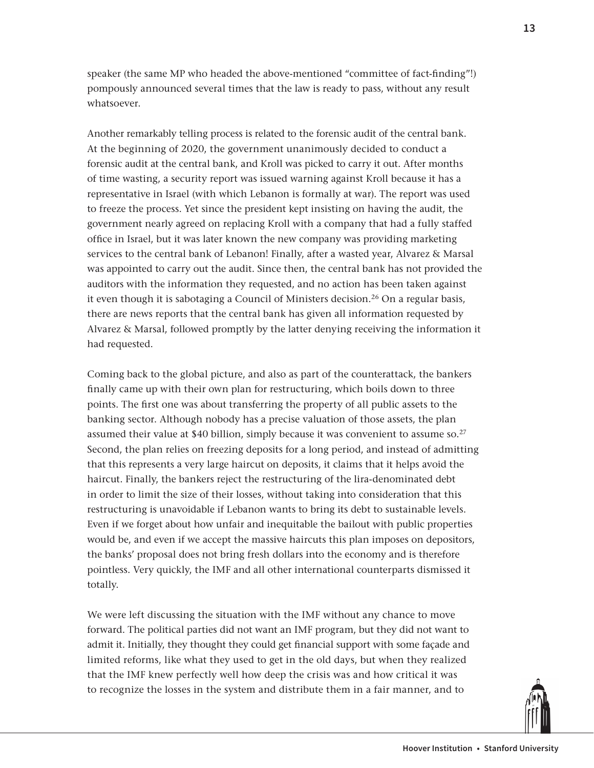speaker (the same MP who headed the above-mentioned "committee of fact-finding"!) pompously announced several times that the law is ready to pass, without any result whatsoever.

Another remarkably telling process is related to the forensic audit of the central bank. At the beginning of 2020, the government unanimously decided to conduct a forensic audit at the central bank, and Kroll was picked to carry it out. After months of time wasting, a security report was issued warning against Kroll because it has a representative in Israel (with which Lebanon is formally at war). The report was used to freeze the process. Yet since the president kept insisting on having the audit, the government nearly agreed on replacing Kroll with a company that had a fully staffed office in Israel, but it was later known the new company was providing marketing services to the central bank of Lebanon! Finally, after a wasted year, Alvarez & Marsal was appointed to carry out the audit. Since then, the central bank has not provided the auditors with the information they requested, and no action has been taken against it even though it is sabotaging a Council of Ministers decision.<sup>26</sup> On a regular basis, there are news reports that the central bank has given all information requested by Alvarez & Marsal, followed promptly by the latter denying receiving the information it had requested.

Coming back to the global picture, and also as part of the counterattack, the bankers finally came up with their own plan for restructuring, which boils down to three points. The first one was about transferring the property of all public assets to the banking sector. Although nobody has a precise valuation of those assets, the plan assumed their value at \$40 billion, simply because it was convenient to assume so.<sup>27</sup> Second, the plan relies on freezing deposits for a long period, and instead of admitting that this represents a very large haircut on deposits, it claims that it helps avoid the haircut. Finally, the bankers reject the restructuring of the lira-denominated debt in order to limit the size of their losses, without taking into consideration that this restructuring is unavoidable if Lebanon wants to bring its debt to sustainable levels. Even if we forget about how unfair and inequitable the bailout with public properties would be, and even if we accept the massive haircuts this plan imposes on depositors, the banks' proposal does not bring fresh dollars into the economy and is therefore pointless. Very quickly, the IMF and all other international counterparts dismissed it totally.

We were left discussing the situation with the IMF without any chance to move forward. The political parties did not want an IMF program, but they did not want to admit it. Initially, they thought they could get financial support with some façade and limited reforms, like what they used to get in the old days, but when they realized that the IMF knew perfectly well how deep the crisis was and how critical it was to recognize the losses in the system and distribute them in a fair manner, and to

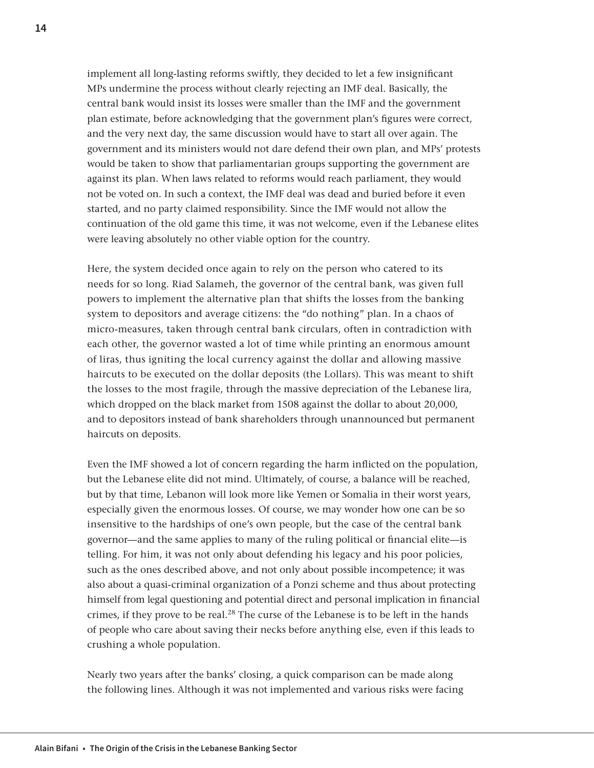implement all long-lasting reforms swiftly, they decided to let a few insignificant MPs undermine the process without clearly rejecting an IMF deal. Basically, the central bank would insist its losses were smaller than the IMF and the government plan estimate, before acknowledging that the government plan's figures were correct, and the very next day, the same discussion would have to start all over again. The government and its ministers would not dare defend their own plan, and MPs' protests would be taken to show that parliamentarian groups supporting the government are against its plan. When laws related to reforms would reach parliament, they would not be voted on. In such a context, the IMF deal was dead and buried before it even started, and no party claimed responsibility. Since the IMF would not allow the continuation of the old game this time, it was not welcome, even if the Lebanese elites were leaving absolutely no other viable option for the country.

Here, the system decided once again to rely on the person who catered to its needs for so long. Riad Salameh, the governor of the central bank, was given full powers to implement the alternative plan that shifts the losses from the banking system to depositors and average citizens: the "do nothing" plan. In a chaos of micro-measures, taken through central bank circulars, often in contradiction with each other, the governor wasted a lot of time while printing an enormous amount of liras, thus igniting the local currency against the dollar and allowing massive haircuts to be executed on the dollar deposits (the Lollars). This was meant to shift the losses to the most fragile, through the massive depreciation of the Lebanese lira, which dropped on the black market from 1508 against the dollar to about 20,000, and to depositors instead of bank shareholders through unannounced but permanent haircuts on deposits.

Even the IMF showed a lot of concern regarding the harm inflicted on the population, but the Lebanese elite did not mind. Ultimately, of course, a balance will be reached, but by that time, Lebanon will look more like Yemen or Somalia in their worst years, especially given the enormous losses. Of course, we may wonder how one can be so insensitive to the hardships of one's own people, but the case of the central bank governor—and the same applies to many of the ruling political or financial elite—is telling. For him, it was not only about defending his legacy and his poor policies, such as the ones described above, and not only about possible incompetence; it was also about a quasi-criminal organization of a Ponzi scheme and thus about protecting himself from legal questioning and potential direct and personal implication in financial crimes, if they prove to be real.<sup>28</sup> The curse of the Lebanese is to be left in the hands of people who care about saving their necks before anything else, even if this leads to crushing a whole population.

Nearly two years after the banks' closing, a quick comparison can be made along the following lines. Although it was not implemented and various risks were facing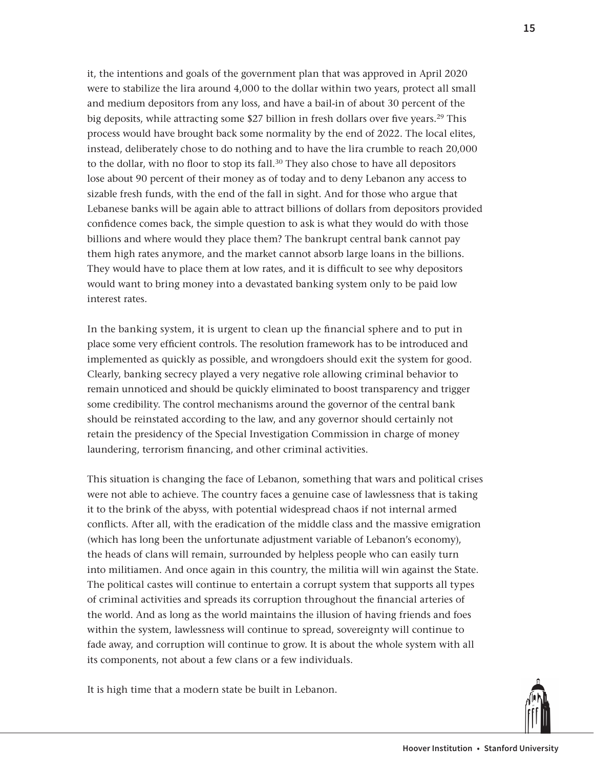it, the intentions and goals of the government plan that was approved in April 2020 were to stabilize the lira around 4,000 to the dollar within two years, protect all small and medium depositors from any loss, and have a bail-in of about 30 percent of the big deposits, while attracting some \$27 billion in fresh dollars over five years.29 This process would have brought back some normality by the end of 2022. The local elites, instead, deliberately chose to do nothing and to have the lira crumble to reach 20,000 to the dollar, with no floor to stop its fall.<sup>30</sup> They also chose to have all depositors lose about 90 percent of their money as of today and to deny Lebanon any access to sizable fresh funds, with the end of the fall in sight. And for those who argue that Lebanese banks will be again able to attract billions of dollars from depositors provided confidence comes back, the simple question to ask is what they would do with those billions and where would they place them? The bankrupt central bank cannot pay them high rates anymore, and the market cannot absorb large loans in the billions. They would have to place them at low rates, and it is difficult to see why depositors would want to bring money into a devastated banking system only to be paid low interest rates.

In the banking system, it is urgent to clean up the financial sphere and to put in place some very efficient controls. The resolution framework has to be introduced and implemented as quickly as possible, and wrongdoers should exit the system for good. Clearly, banking secrecy played a very negative role allowing criminal behavior to remain unnoticed and should be quickly eliminated to boost transparency and trigger some credibility. The control mechanisms around the governor of the central bank should be reinstated according to the law, and any governor should certainly not retain the presidency of the Special Investigation Commission in charge of money laundering, terrorism financing, and other criminal activities.

This situation is changing the face of Lebanon, something that wars and political crises were not able to achieve. The country faces a genuine case of lawlessness that is taking it to the brink of the abyss, with potential widespread chaos if not internal armed conflicts. After all, with the eradication of the middle class and the massive emigration (which has long been the unfortunate adjustment variable of Lebanon's economy), the heads of clans will remain, surrounded by helpless people who can easily turn into militiamen. And once again in this country, the militia will win against the State. The political castes will continue to entertain a corrupt system that supports all types of criminal activities and spreads its corruption throughout the financial arteries of the world. And as long as the world maintains the illusion of having friends and foes within the system, lawlessness will continue to spread, sovereignty will continue to fade away, and corruption will continue to grow. It is about the whole system with all its components, not about a few clans or a few individuals.

It is high time that a modern state be built in Lebanon.

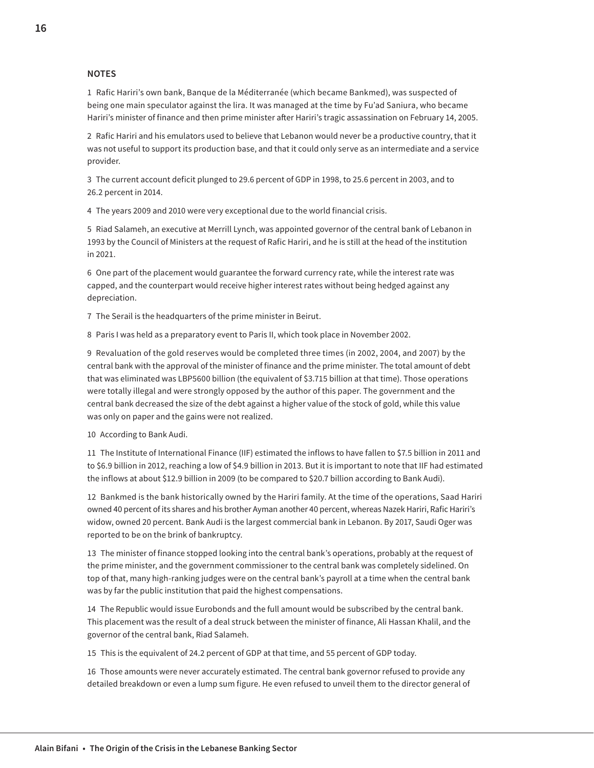#### **NOTES**

1 Rafic Hariri's own bank, Banque de la Méditerranée (which became Bankmed), was suspected of being one main speculator against the lira. It was managed at the time by Fu'ad Saniura, who became Hariri's minister of finance and then prime minister after Hariri's tragic assassination on February 14, 2005.

2 Rafic Hariri and his emulators used to believe that Lebanon would never be a productive country, that it was not useful to support its production base, and that it could only serve as an intermediate and a service provider.

3 The current account deficit plunged to 29.6 percent of GDP in 1998, to 25.6 percent in 2003, and to 26.2 percent in 2014.

4 The years 2009 and 2010 were very exceptional due to the world financial crisis.

5 Riad Salameh, an executive at Merrill Lynch, was appointed governor of the central bank of Lebanon in 1993 by the Council of Ministers at the request of Rafic Hariri, and he is still at the head of the institution in 2021.

6 One part of the placement would guarantee the forward currency rate, while the interest rate was capped, and the counterpart would receive higher interest rates without being hedged against any depreciation.

7 The Serail is the headquarters of the prime minister in Beirut.

8 Paris I was held as a preparatory event to Paris II, which took place in November 2002.

9 Revaluation of the gold reserves would be completed three times (in 2002, 2004, and 2007) by the central bank with the approval of the minister of finance and the prime minister. The total amount of debt that was eliminated was LBP5600 billion (the equivalent of \$3.715 billion at that time). Those operations were totally illegal and were strongly opposed by the author of this paper. The government and the central bank decreased the size of the debt against a higher value of the stock of gold, while this value was only on paper and the gains were not realized.

10 According to Bank Audi.

11 The Institute of International Finance (IIF) estimated the inflows to have fallen to \$7.5 billion in 2011 and to \$6.9 billion in 2012, reaching a low of \$4.9 billion in 2013. But it is important to note that IIF had estimated the inflows at about \$12.9 billion in 2009 (to be compared to \$20.7 billion according to Bank Audi).

12 Bankmed is the bank historically owned by the Hariri family. At the time of the operations, Saad Hariri owned 40 percent of its shares and his brother Ayman another 40 percent, whereas Nazek Hariri, Rafic Hariri's widow, owned 20 percent. Bank Audi is the largest commercial bank in Lebanon. By 2017, Saudi Oger was reported to be on the brink of bankruptcy.

13 The minister of finance stopped looking into the central bank's operations, probably at the request of the prime minister, and the government commissioner to the central bank was completely sidelined. On top of that, many high-ranking judges were on the central bank's payroll at a time when the central bank was by far the public institution that paid the highest compensations.

14 The Republic would issue Eurobonds and the full amount would be subscribed by the central bank. This placement was the result of a deal struck between the minister of finance, Ali Hassan Khalil, and the governor of the central bank, Riad Salameh.

15 This is the equivalent of 24.2 percent of GDP at that time, and 55 percent of GDP today.

16 Those amounts were never accurately estimated. The central bank governor refused to provide any detailed breakdown or even a lump sum figure. He even refused to unveil them to the director general of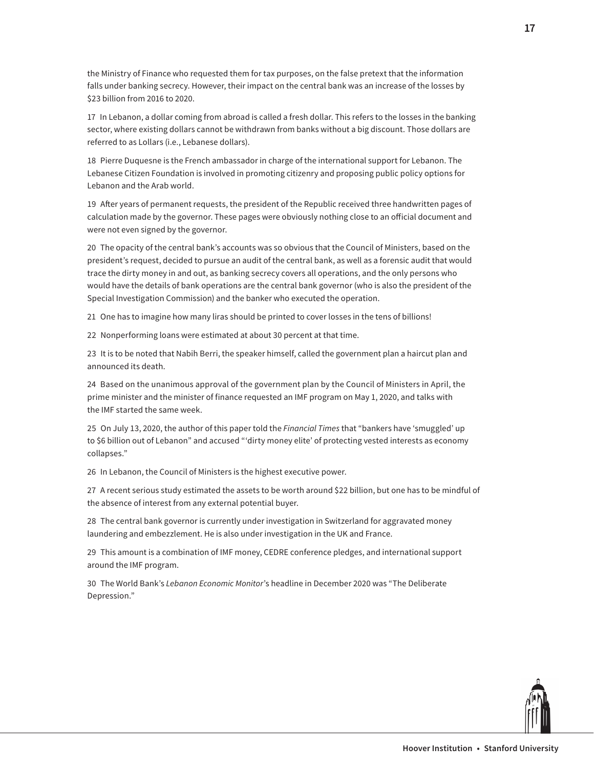the Ministry of Finance who requested them for tax purposes, on the false pretext that the information falls under banking secrecy. However, their impact on the central bank was an increase of the losses by \$23 billion from 2016 to 2020.

17 In Lebanon, a dollar coming from abroad is called a fresh dollar. This refers to the losses in the banking sector, where existing dollars cannot be withdrawn from banks without a big discount. Those dollars are referred to as Lollars (i.e., Lebanese dollars).

18 Pierre Duquesne is the French ambassador in charge of the international support for Lebanon. The Lebanese Citizen Foundation is involved in promoting citizenry and proposing public policy options for Lebanon and the Arab world.

19 After years of permanent requests, the president of the Republic received three handwritten pages of calculation made by the governor. These pages were obviously nothing close to an official document and were not even signed by the governor.

20 The opacity of the central bank's accounts was so obvious that the Council of Ministers, based on the president's request, decided to pursue an audit of the central bank, as well as a forensic audit that would trace the dirty money in and out, as banking secrecy covers all operations, and the only persons who would have the details of bank operations are the central bank governor (who is also the president of the Special Investigation Commission) and the banker who executed the operation.

21 One has to imagine how many liras should be printed to cover losses in the tens of billions!

22 Nonperforming loans were estimated at about 30 percent at that time.

23 It is to be noted that Nabih Berri, the speaker himself, called the government plan a haircut plan and announced its death.

24 Based on the unanimous approval of the government plan by the Council of Ministers in April, the prime minister and the minister of finance requested an IMF program on May 1, 2020, and talks with the IMF started the same week.

25 On July 13, 2020, the author of this paper told the *Financial Times* that "bankers have 'smuggled' up to \$6 billion out of Lebanon" and accused "'dirty money elite' of protecting vested interests as economy collapses."

26 In Lebanon, the Council of Ministers is the highest executive power.

27 A recent serious study estimated the assets to be worth around \$22 billion, but one has to be mindful of the absence of interest from any external potential buyer.

28 The central bank governor is currently under investigation in Switzerland for aggravated money laundering and embezzlement. He is also under investigation in the UK and France.

29 This amount is a combination of IMF money, CEDRE conference pledges, and international support around the IMF program.

30 The World Bank's *Lebanon Economic Monitor*'s headline in December 2020 was "The Deliberate Depression."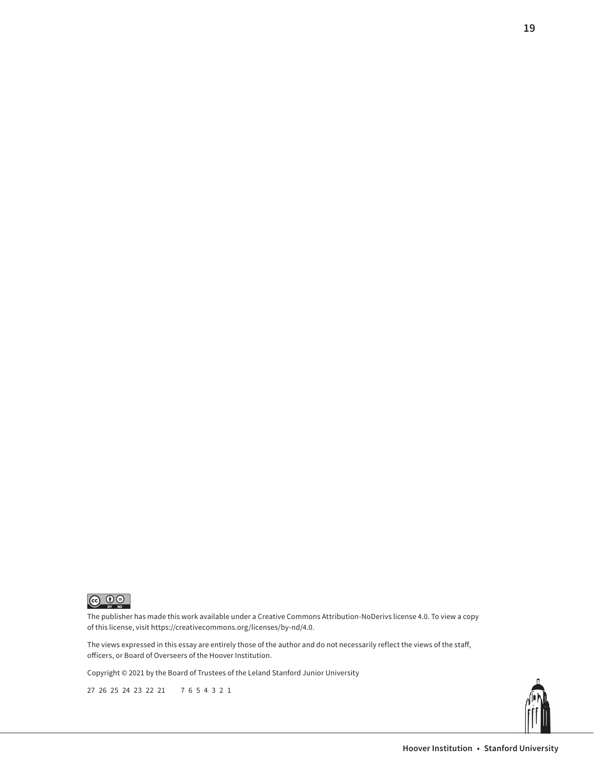

The publisher has made this work available under a Creative Commons Attribution-NoDerivs license 4.0. To view a copy of this license, visit <https://creativecommons.org/licenses/by-nd/4.0>.

The views expressed in this essay are entirely those of the author and do not necessarily reflect the views of the staff, officers, or Board of Overseers of the Hoover Institution.

Copyright © 2021 by the Board of Trustees of the Leland Stanford Junior University

27 26 25 24 23 22 21 7 6 5 4 3 2 1



**19**